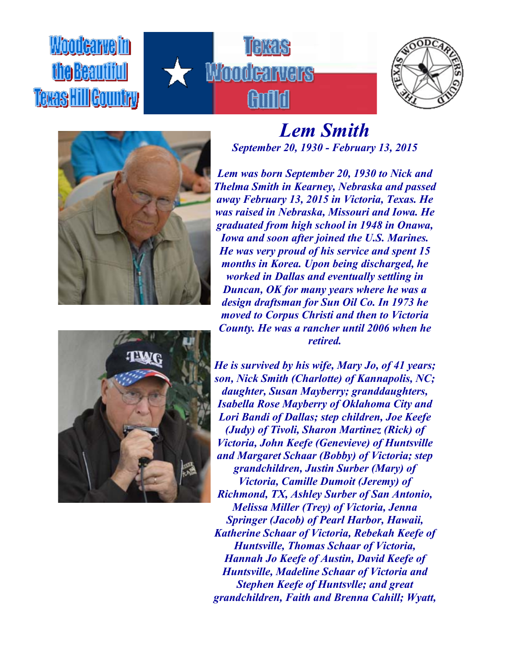## Woodcarveim **fhe Beautiful Texas HillGountry**









## *Lem Smith September 20, 1930 - February 13, 2015*

*Lem was born September 20, 1930 to Nick and Thelma Smith in Kearney, Nebraska and passed away February 13, 2015 in Victoria, Texas. He was raised in Nebraska, Missouri and Iowa. He graduated from high school in 1948 in Onawa, Iowa and soon after joined the U.S. Marines. He was very proud of his service and spent 15 months in Korea. Upon being discharged, he worked in Dallas and eventually settling in Duncan, OK for many years where he was a design draftsman for Sun Oil Co. In 1973 he moved to Corpus Christi and then to Victoria County. He was a rancher until 2006 when he retired.*

*He is survived by his wife, Mary Jo, of 41 years; son, Nick Smith (Charlotte) of Kannapolis, NC; daughter, Susan Mayberry; granddaughters, Isabella Rose Mayberry of Oklahoma City and Lori Bandi of Dallas; step children, Joe Keefe (Judy) of Tivoli, Sharon Martinez (Rick) of Victoria, John Keefe (Genevieve) of Huntsville and Margaret Schaar (Bobby) of Victoria; step grandchildren, Justin Surber (Mary) of Victoria, Camille Dumoit (Jeremy) of Richmond, TX, Ashley Surber of San Antonio, Melissa Miller (Trey) of Victoria, Jenna Springer (Jacob) of Pearl Harbor, Hawaii, Katherine Schaar of Victoria, Rebekah Keefe of Huntsville, Thomas Schaar of Victoria, Hannah Jo Keefe of Austin, David Keefe of Huntsville, Madeline Schaar of Victoria and Stephen Keefe of Huntsvlle; and great grandchildren, Faith and Brenna Cahill; Wyatt,*